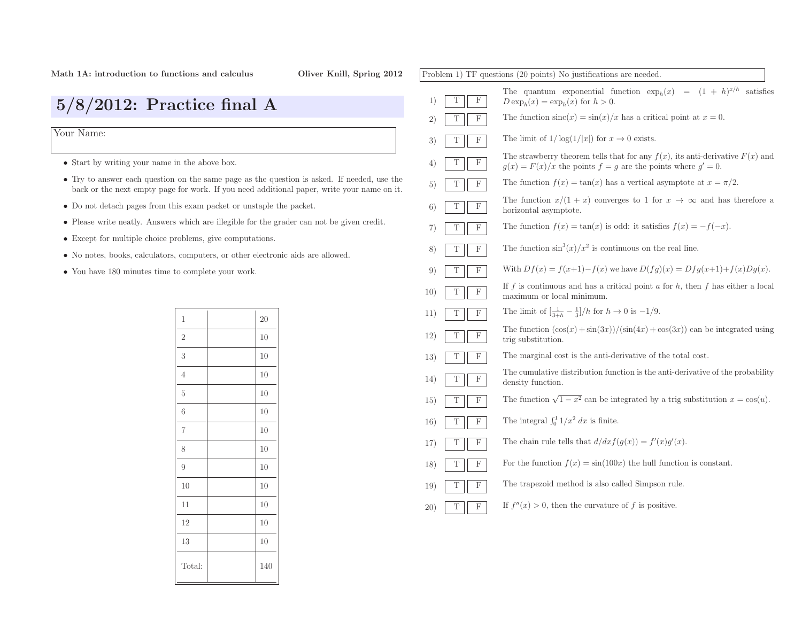| $5/8/2012$ : Practice final A                                                                                                                                                             |                |    |                | $\mathbf F$      | The quantum exponential function $\exp_h(x) = (1 + h)^{x/h}$ satisfies<br>$D \exp_h(x) = \exp_h(x)$ for $h > 0$ .                                       |
|-------------------------------------------------------------------------------------------------------------------------------------------------------------------------------------------|----------------|----|----------------|------------------|---------------------------------------------------------------------------------------------------------------------------------------------------------|
|                                                                                                                                                                                           |                |    | $\overline{2}$ | $_{\rm F}$       | The function $\operatorname{sinc}(x) = \sin(x)/x$ has a critical point at $x = 0$ .                                                                     |
| Your Name:                                                                                                                                                                                |                |    | 3)             | $_{\rm F}$       | The limit of $1/\log(1/ x )$ for $x \to 0$ exists.                                                                                                      |
| • Start by writing your name in the above box.                                                                                                                                            |                |    | 41             | $\mathbf F$      | The strawberry theorem tells that for any $f(x)$ , its anti-derivative $F(x)$ and<br>$g(x) = F(x)/x$ the points $f = g$ are the points where $g' = 0$ . |
| • Try to answer each question on the same page as the question is asked. If needed, use the<br>back or the next empty page for work. If you need additional paper, write your name on it. |                |    | 5)             | F                | The function $f(x) = \tan(x)$ has a vertical asymptote at $x = \pi/2$ .                                                                                 |
| • Do not detach pages from this exam packet or unstaple the packet.                                                                                                                       |                |    |                | $\mathbf F$      | The function $x/(1+x)$ converges to 1 for $x \to \infty$ and has therefore a<br>horizontal asymptote.                                                   |
| • Please write neatly. Answers which are illegible for the grader can not be given credit.                                                                                                |                |    | 7)             | $_{\rm F}$       | The function $f(x) = \tan(x)$ is odd: it satisfies $f(x) = -f(-x)$ .                                                                                    |
| • Except for multiple choice problems, give computations.<br>• No notes, books, calculators, computers, or other electronic aids are allowed.                                             |                |    | 8)             | $\mathbf F$      | The function $\sin^3(x)/x^2$ is continuous on the real line.                                                                                            |
| • You have 180 minutes time to complete your work.                                                                                                                                        |                |    | 9)             | $\mathbf F$      | With $Df(x) = f(x+1) - f(x)$ we have $D(fg)(x) = Dfg(x+1) + f(x)Dg(x)$ .                                                                                |
|                                                                                                                                                                                           |                |    | 10)            | $\mathbf F$      | If f is continuous and has a critical point a for h, then f has either a local<br>maximum or local minimum.                                             |
|                                                                                                                                                                                           | 1              | 20 | 11)            | $\mathbf F$      | The limit of $\left(\frac{1}{3+h} - \frac{1}{3}\right)/h$ for $h \to 0$ is $-1/9$ .                                                                     |
|                                                                                                                                                                                           | $\overline{2}$ | 10 | 12)            | $\mathbf F$      | The function $(\cos(x) + \sin(3x))/( \sin(4x) + \cos(3x))$ can be integrated using<br>trig substitution.                                                |
|                                                                                                                                                                                           | 3              | 10 | 13)            | F                | The marginal cost is the anti-derivative of the total cost.                                                                                             |
|                                                                                                                                                                                           | $\overline{4}$ | 10 | 14)            | $\mathbf F$<br>T | The cumulative distribution function is the anti-derivative of the probability<br>density function.                                                     |
|                                                                                                                                                                                           | 5              | 10 | 15)            | $\mathbf F$      | The function $\sqrt{1-x^2}$ can be integrated by a trig substitution $x = \cos(u)$ .                                                                    |
|                                                                                                                                                                                           | 6              | 10 | 16             | $\mathbf F$      | The integral $\int_0^1 1/x^2 dx$ is finite.                                                                                                             |
|                                                                                                                                                                                           | $\overline{7}$ | 10 | 17)            | $\mathbf F$      | The chain rule tells that $d/dx f(g(x)) = f'(x)g'(x)$ .                                                                                                 |
|                                                                                                                                                                                           | 8              | 10 |                |                  |                                                                                                                                                         |
|                                                                                                                                                                                           | 9              | 10 | <b>18</b>      | $\mathbf F$      | For the function $f(x) = \sin(100x)$ the hull function is constant.                                                                                     |
|                                                                                                                                                                                           | 10             | 10 | 19             | $_{\rm F}$       | The trapezoid method is also called Simpson rule.                                                                                                       |
|                                                                                                                                                                                           | 11             | 10 | $20^{\circ}$   | F                | If $f''(x) > 0$ , then the curvature of f is positive.                                                                                                  |
|                                                                                                                                                                                           | 12             | 10 |                |                  |                                                                                                                                                         |
|                                                                                                                                                                                           | 13             | 10 |                |                  |                                                                                                                                                         |
|                                                                                                                                                                                           |                |    |                |                  |                                                                                                                                                         |

Problem 1) TF questions (20 points) No justifications are needed.

- Do not detach pages from this exam packet or unstaple the packet.
- Please write neatly. Answers which are illegible for the grader can not be <sup>g</sup>iven credit.
- Except for multiple choice problems, <sup>g</sup>ive computations.
- No notes, books, calculators, computers, or other electronic aids are allowed.
- You have <sup>180</sup> minutes time to complete your work.

| $\mathbf 1$      | 20  |
|------------------|-----|
| $\sqrt{2}$       | 10  |
| 3                | 10  |
| $\overline{4}$   | 10  |
| $\mathbf 5$      | 10  |
| $\boldsymbol{6}$ | 10  |
| $\overline{7}$   | 10  |
| 8                | 10  |
| 9                | 10  |
| 10               | 10  |
| 11               | 10  |
| 12               | 10  |
| 13               | 10  |
| Total:           | 140 |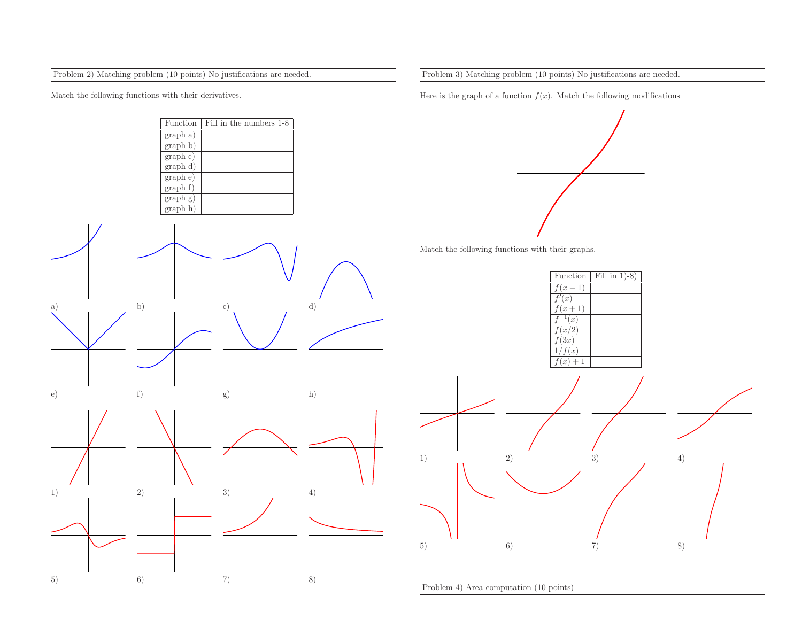Problem 2) Matching problem (10 points) No justifications are needed.

Function

grap<sup>h</sup> a) grap<sup>h</sup> b) grap<sup>h</sup> c) grap<sup>h</sup> d) grap<sup>h</sup> e) Fill in the numbers 1-8

Match the following functions with their derivatives.

Problem 3) Matching problem (10 points) No justifications are needed.

Here is the graph of a function  $f(x)$ . Match the following modifications







Problem 4) Area computation (10 points)

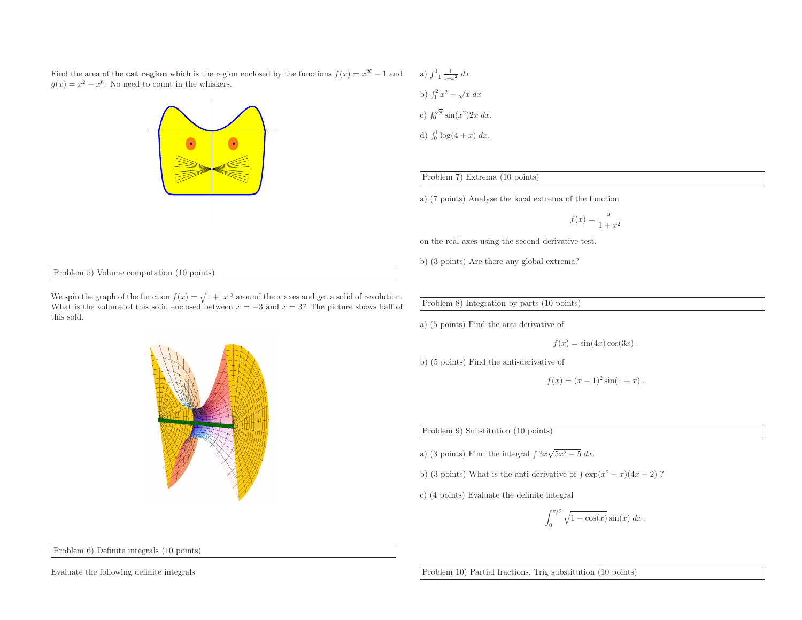Find the area of the **cat region** which is the region enclosed by the functions  $f(x) = x^{20} - 1$  and  $g(x) = x^2 - x^6$ . No need to count in the whiskers.



a)  $\int_{-1}^{1} \frac{1}{1+x^2} dx$ b)  $\int_1^2 x^2 + \sqrt{x} \ dx$ c)  $\int_0^{\sqrt{\pi}} \sin(x^2) 2x \, dx$ . d)  $\int_0^1 \log(4 + x) \ dx$ .

## Problem 7) Extrema (10 points)

a) (7 points) Analyse the local extrema of the function

$$
f(x) = \frac{x}{1 + x^2}
$$

on the real axes using the second derivative test.

b) (3 points) Are there any <sup>g</sup>lobal extrema?

Problem 5) Volume computation (10 points)

We spin the graph of the function  $f(x) = \sqrt{1 + |x|^3}$  around the x axes and get a solid of revolution. What is the volume of this solid enclosed between  $x = -3$  and  $x = 3$ ? The picture shows half of this sold.



Problem 6) Definite integrals (10 points)

Evaluate the following definite integrals

Problem 8) Integration by parts (10 points)

a) (5 points) Find the anti-derivative of

$$
f(x) = \sin(4x)\cos(3x) .
$$

b) (5 points) Find the anti-derivative of

 $f(x) = (x - 1)^2 \sin(1 + x)$ .

## Problem 9) Substitution (10 points)

- a) (3 points) Find the integral  $\int 3x\sqrt{5x^2 5} dx$ .
- b) (3 points) What is the anti-derivative of  $\int \exp(x^2 x)(4x 2)$ ?
- c) (4 points) Evaluate the definite integral

$$
\int_0^{\pi/2} \sqrt{1 - \cos(x)} \sin(x) dx.
$$

Problem 10) Partial fractions, Trig substitution (10 points)